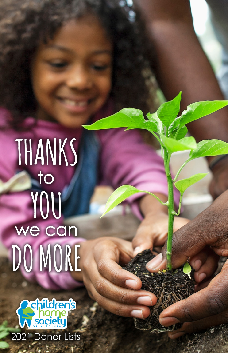# THANKS  $\overline{\mathsf{1}}$ YOU<br>we can DO MORE

Children's Home Society | 2018 Donor Lists

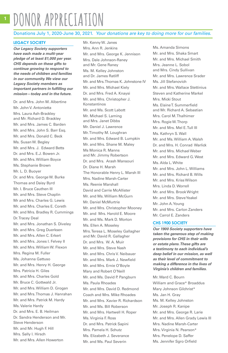# **1** DONOR APPRECIATION

## Donations July 1, 2020-June 30, 2021. *Your donations are key to doing more for our families.*

#### **LEGACY SOCIETY**

*Our Legacy Society supporters have each made a multi-year pledge of at least \$1,000 per year. CHS depends on these gifts to continue growing to respond to the needs of children and families in our community. We view our Legacy Society members as*  **important partners in fulfilling our**  *mission—today and in the future.*

Dr. and Mrs. John M. Albertine Mr. John V. Antonietta Mrs. Laura Ash-Brackley and Mr. Richard D. Brackley Mr. and Mrs. James C. Barden Mr. and Mrs. John S. Barr Esq. Mr. and Mrs. Donald C. Beck Ms. Susan W. Begley Mr. and Mrs. J. Edward Betts Dr. and Mrs. E.J. Bowen Jr. Mr. and Mrs. William Boyce Ms. Stephanie Brown Mr. L. D. Buoyer Dr. and Mrs. George W. Burke Thomas and Daisy Byrd Mr. I. Bruce Cauthen III Mr. and Mrs. Steve Chaplin Mr and Mrs. Charles G. Lewis Mr. and Mrs. Charles E. Coreth Mr. and Mrs. Bradley R. Cummings Dr. Tracey Deal Mr. and Mrs. Jonathan S. Diveley Mr. and Mrs. Greg Duerksen Mr. and Mrs. Allen C. Erkert Mr. and Mrs. Jones I. Felvey II Mr. and Mrs. William W. Flexon Mrs. Regina M. Fuller Ms. Johanna Gattuso Mr. and Mrs. Henry H. George Mrs. Patricia H. Giles Mr. and Mrs. Charles Gold Mr. Bruce C. Gottwald Jr. Mr. and Mrs. William D. Grogan Mr. and Mrs. Thomas J. Hanrahan Mr. and Mrs. Patrick M. Hardy Ms. Valerie Hardy Dr. and Mrs. E. B. Heilman Dr. Sandra Henderson and Mr. Steve Henderson Mr. and Mr. Hugh F. Hill Mrs. Sally I. Hirsch Mr. and Mrs. Allen Howerton

Mr. Kenny W. Janes Mrs. Ann R. Jenkins Mr. and Mrs. George K. Jennison Mrs. Dale Johnson-Raney and Mr. Gene Raney Ms. M. Kelley Johnston and Dr. James Ratliff Mr. and Mrs. Thomas K. Johnstone IV Mr. and Mrs. Michael Kiely Dr. and Mrs. Fred A. Knaysi Mr. and Mrs. Christopher J. Konstantinos Mr. and Ms. Scott Labott Mr. Michael S. Laming and Mrs. Janet Dibbs Mr. Daniel J. Lawrence Mr. Timothy M. Loughran Mr. and Mrs. Edward B. Lumpkin Mr. and Mrs. Shane M. Maley Ms Monica R. Manns and Mr. Jimmy Robertson Dr. and Mrs. Arash Mansouri Dr. Diane H. Marsh The Honorable Henry L. Marsh III Mrs. Nadine Marsh-Carter Ms. Reenie Marshall David and Carrie McAllister Mr. and Ms. William McGurn Mr. Daniel McMurtrie Mr. and Mrs. Christopher Mooney Mr. and Mrs. Harold E. Moore Mr. and Ms. Mark D. Morton Ms. Ellen A. Moseley Mrs. Teresa L. Moseley Gallagher and Mr. David R. Gallagher Dr. and Mrs. W. A. Muir Mr. and Mrs. Steve Nash Mr. and Mrs. Chris V. Neibauer Mr. and Mrs. Mark J. Newfield Mr. and Mrs. Ernie O'Boyle Mary and Robert O'Neill Mr. and Ms. David P. Pangburn Ms. Paula Rhoades Mr. and Mrs. David D. Redmond Coach and Mrs. Mike Rhoades Mr. and Mrs. Xavier R. Richardson Mr. and Ms. Bill Roberson Mr. and Mrs. Hartwell H. Roper Ms. Virginia F. Ross Dr. and Mrs. Patrick Sapini Mrs. Pamela H. Schutz Ms. Elizabeth J. Severance Mr. and Ms. Paul Severin

Ms. Amanda Simons Mr. and Mrs. Shaka Smart Mr. and Mrs. Michael Smith Mrs. Jeanne L. Sobol and Mrs. Cindy Sullivan Mr. and Mrs. Lawrence Srader Ms. Jill Stefanovich Mr. and Mrs. Wallace Stettinius Steven and Katherine Markel Mrs. Micki Stout Ms. Elaine T. Summerfield and Mr. Richard A. Sebastian Mrs. Carol M. Thalhimer Mrs. Rogie W. Thorp Mr. and Mrs. Mel E. Tull III Ms. Kathryn S. Wall Mr. and Ms. William A. Walsh Dr. and Mrs. H. Conrad Warlick Mr. and Mrs. Michael Weber Mr. and Mrs. Edward G. West Ms. Alda L. White Mr. and Mrs. John L. Williams Mr. and Mrs. Richard B. Wills Mr. and Mrs. Kriss Wilson Mrs. Linda D. Worrell Mr. and Mrs. Brook Wright Mr. and Mrs. Steve Yeakel Mr. John A. Young Mr. and Mrs. Carlon Zanders Mr. Carrol E. Zanders

#### **CHS 1900 SOCIETY**

*Our 1900 Society supporters have taken the generous step of making provisions for CHS in their wills or estate plans. These gifts are a testimony to each individual's deep belief in our mission, as well as their level of commitment to*  **making a difference in the lives of**  *Virginia's children and families.*

Mr. Ward C. Bourn William and Grace\* Broaddus Mary Johnson Gilchrist\* Ms. Jan H. Gray Ms. M. Kelley Johnston Mr. Joseph R. Kanipe Mr. and Mrs. George R. Larie Mr. and Mrs. Allen Grady Lewis III Mrs. Nadine Marsh-Carter Mrs. Virginia N. Pearson\* Mrs. Penelope D. Saffer Ms. Jennifer Sgro Orfield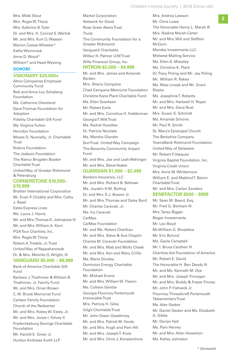Mrs. Rogie W. Thorp Mrs. Katerine B. Tyler Dr. and Mrs. H. Conrad S. Warlick Mr. and Mrs. Kurt O. Wassen Marion Caesar Wheeler\* Kathy Wommack Anne D. Wood\* William\* and Hazel Wysong

#### **DONORS**

#### **VISIONARY \$20,000+**

Altria Companies Employee Community Fund Bob and Anna Lou Schaberg Foundation Ms. Catherine Cleveland Dave Thomas Foundation for Adoption Fidelity Charitable Gift Fund Ms. Virginia Fulton Herndon Foundation Moses D. Nunnally, Jr. Charitable **Trust** Robins Foundation The Jackson Foundation The Nancy Brogden Booker Charitable Trust United Way of Greater Richmond & Petersburg **CORNERSTONE \$10,000– \$19,999**

Brother International Corporation Mr. Evan P. Chicklis and Mrs. Cathy J. Reed Estes Express Lines Ms. Laura J. Harris Mr. and Mrs. Thomas K. Johnstone IV Mr. and Mrs. William A. Korn PGA Tour Charities, Inc. Mrs. Rogie W. Thorp Robert A. Treakle, Jr. Trust United Way of Rappahannock Dr. & Mrs. Melville G. Wright, III

# **VANGUARD \$5,000 – \$9,999**

Bank of America Charitable Gift Fund Barbara J. Thalhimer & William B. Thalhimer, Jr. Family Fund Mr. and Mrs. Orran Brown C. W. Brook Memorial Fund Carlson Family Foundation Church of the Redeemer Mr. and Mrs. Robey W. Estes, Jr. Mr. and Mrs. Jones I. Felvey II Fredericksburg Savings Charitable Foundation Mr. Harold E. Greer Jr.

Hunton Andrews Kurth LLP

**2** Mrs. Micki Stout **2** Markel Corporation **2** Mrs. Andrea Lawson **2** Markel Corporation Network for Good Rose Greer Akers Trust Truist The Community Foundation for a Greater Richmond Vanguard Charitable Wilbur H. Palmer U/W Trust Wills Financial Group, Inc.

# **PATRON \$2,500 – \$4,999**

Mr. and Mrs. James and Amanda Barden Mrs. Sherry Campana Chad Campana Memorial Foundation Christine Kane Plant Charitable Fund Ms. Ellen Duerksen Mr. Robert Earle Mr. and Mrs. Cornelius H. Fedderman Georgia T. Witt Trust Ms. Rachel Hunziker Dr. Patricia Nicolato Ms. Marsha Olander SunTrust United Way Campaign The Benevity Community Impact Fund Mr. and Mrs. Joe and Leah Wehinger Mr. and Mrs. Steve Yeakel **GUARDIAN \$1,000 – \$2,499**

Bankers Insurance, LLC Mr. and Mrs. Richard B. Bellows Ms. Joyakin H.M. Bolling Dr. and Mrs. E.J. Bowen Jr. Mr. and Mrs. Thomas and Daisy Byrd

Mr. Charles Caravati, Jr. Ms. Ivy Caravati CarMax CarMax Foundation Mr. and Ms. Robert Chanfrau Mr. and Mrs. Steve & Sue Chaplin Charles M. Caravati Foundation Mr. and Mrs. Matt and Molly Cheek Mr. and Mrs. Ken and Mary Cirillo Ms. Marie Diveley Dominion Energy Charitable Foundation Mr. Michael Evans Mr. and Mrs. William W. Flexon Ms. Colleen Gentile Georgia Flournoy Portsmouth Irrevocable Trust Mrs. Patricia H. Giles Gilgit Charitable Trust Mr. John Owen Gwathmey Mr. and Mrs. Patrick M. Hardy Mr. and Mrs. Hugh and Pam Hill Mr. and Mrs. Joseph T. Knox Mr. and Mrs. Chris J. Konstantinos

Mrs. Andrea Lawson Mr. Chris Lowe The Honorable Henry L. Marsh III Mrs. Nadine Marsh-Carter Mr. and Mrs. Will and Steffani McGurn Mendez Investments LLC. Midwest Mailing Service Ms. Ellen A. Moseley Ms. Christine K. Plant Dr. Tracy Poling and Mr. Jay Poling Mr. William R. Rakes Ms. Maia Linask and Mr. Grant Rissler Ms. Josephine T. Roberts Mr. and Mrs. Hartwell H. Roper Mr. and Mrs. Dana Rust Mrs. Susan S. Schmidt Ms. Amanda Simons Mr. Paul R. Smith St. Mary's Episcopal Church The Berkshire Company TowneBank Richmond Foundation United Way of Delaware Mr. Robert F. Vasquez Virginia Baptist Foundation, Inc. Virginia Credit Union Mrs. Anne M. Whittemore William E. and Mablind T. Belvin Charitable Trust Mr. and Mrs. Carlon Zanders

#### **BENEFACTOR \$500 – \$999**

Mr. Sean M. Beard, Esq. Mr. Fred G. Benham III Mrs. Tacey Bigger Bisger Investments Mr. Leo Boyd Mr.William G. Broaddus Mr. Eric Bylund Ms. Gayle Campbell Mr. I. Bruce Cauthen III Charities Aid Foundation of America Mr. Robert E. David The Honorable H. Ben Dendy III Mr. and Ms. Kenneth M. Dye Mr. and Mrs. Joseph Finnegan Mr. and Mrs. Buddy & Fraser Finney Mr. John P. Fishwick Jr. Flournoy-Threadcraft Portsmouth Testamentary Trust Ms. Alex Gecker Mr. Daniel Gecker and Ms. Elizabeth A. Gibbs Mr. Dorian Hall Ms. Pam Hervey Mr. and Mrs. Allen Howerton Ms. Kelley Johnston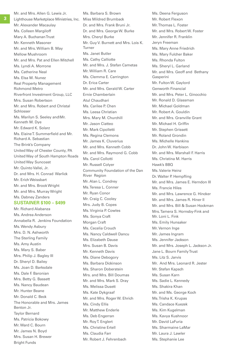Mr. and Mrs. Allen G. Lewis Jr.

Mr. Alexander Macaulay Ms. Colleen Margiloff Mary A. Buchanan Trust Mr. Kenneth Masoner Mr. and Mrs. William B. May Mellow Mushroom Mr. and Mrs. Pat and Ellen Mitchell Ms. Lyndi A. Morrone Ms. Catherine Neal Ms. Elsa M. Nunez Real Property Management Richmond Metro Riverfront Investment Group, LLC Mrs. Susan Robertson Mr. and Mrs. Robert and Christal Schlosser Ms. Marilyn S. Seeley and\Mr. Kenneth M. Dye Mr. Edward K. Solarz Ms. Elaine T. Summerfield and Mr. Richard A. Sebastian The Brink's Company United Way of Chester County, PA United Way of South Hampton Roads United Way Suncoast Mr. Quinto Vallei, Jr. Dr. and Mrs. H. Conrad Warlick Mr. Erich Weissbart Mr. and Mrs. Brook Wright Mr. and Mrs. Murray Wright Ms. Dabney Zanders

### **SUSTAINER \$100 – \$499**

Mr. Richard Alabanza Ms. Andrea Anderson Annabella R. Jenkins Foundation Ms. Wendy Asbury Mrs. D. N. Ashworth The Sterling Family Ms. Amy Austin Ms. Mary S. Baber Mrs. Philip J. Bagley III Dr. Sheryl D. Bailey Ms. Joan D. Barksdale Ms. Dale F. Baronian Mrs. Betty G. Bassett Ms. Nancy Baudean Mr. Hunter Beane Mr. Donald C. Beck The Honorable and Mrs. James Benton Jr. Taylor Bernard Ms. Patricia Bokowy Mr. Ward C. Bourn Mr. James N. Boyd Mrs. Susan H. Brewer Bright Funds

Lighthouse Marketplace Ministries, Inc. Miss Mildred Brumback Ms. Barbara S. Brown Dr. and Mrs. Frank Bruni Jr. Dr. and Mrs. George W. Burke Mrs. Cheryl Burke Mr. Guy V. Burnett and Mrs. Lois K. Turner Ms. Janet Butler Ms. Cathy Calliotte Mr. and Mrs. J. Stefan Cametas Mr. William R. Care Ms. Clemma E. Carrington Dr. Erica Carter Mr. and Mrs. Gerald W. Carter Ernie Chamberlain Atul Chaudhari Ms. Carilee P. Chen Ms. Leesa Christian Mrs. Mary M. Churchill Mr. Jason Ciatteo Mr. Mark Cipolletti Ms. Regina Clemons Mr. James K. Cluverius Mr. and Mrs. Kenneth Cobb Mr. and Mrs. Raymond G. Cobb Ms. Carol Collotti Mr. Russell Colyer Community Foundation of the Dan River Region Mr. Alan L. Condrey Ms. Teresa L. Conner Mr. Ryan Conor Mr. Craig C. Cooley Mrs. Judy B. Copes Ms. Virginia P. Cowles Ms. Sonya Craft Morgan Craft Ms. Cecelia Crouch Ms. Nancy Caldwell Dancu Ms. Elizabeth Dause Mrs. Susan B. Davis Mr. Kenneth Davis Ms. Diane Debogory Ms. Barbara Dickinson Ms. Sharon Doberstein Mrs. and Mrs. Bill Doumas Mr. and Mrs. Mark S. Dray Ms. Melissa Dusett Ms. Kate Dykgraaf Mr. and Mrs. Roger W. Ehrich Ms. Cindy Ellis Mr. Matthew Enderle Ms. Deb Engerran Mr. Roy T. Englert Ms. Christine Ertell Ms. Claudia Farr Mr. Robert J. Fehrenbach

Ms. Deena Ferguson Mr. Robert Flexon Mr. Thomas L. Foster Mr. and Mrs. Robert W. Foster Mr. Jennifer R. Franklin Jeryn Freeman Ms. Mary Anne Friedrich Ms. Mary Fulcher Baker Ms. Rhonda Fulton Ms. Sheryl L. Garland Mr. and Mrs. Geoff and Bethany Gasperini Mr. Fulton W. Gaylord Genworth Financial Mr. and Mrs. Peter L. Ginocchio Mr. Ronald D. Glassman Mr. Michael Goldman Mr. Robert A. Gouldin Mr. and Mrs. Granville Grant Mr. Michael H. Griffin Mr. Stephen Grissett Mr. Roland Grondin Ms. Michelle Hankins Dr. John W. Harbison Mr. and Mrs. Marshall F. Harris Ms. Christina M. Harris Hawk's BBQ Ms. Valerie Heinz Dr. Walter P. Hempfling Mr. and Mrs. James E. Herndon III Ms. Francie Hiles Mr. and Mrs. Lawrence G. Hincker Mr. and Mrs. James R. Hiner II Mr. and Mrs. Bill & Susan Hockman Mrs. Tamera S. Hornsby-Fink and Mr. Loni L. Fink Ms. Emily Hunsaker Mr. Vernon Inge Mr. James Ingram Ms. Jennifer Jackson Mr. and Mrs. Joseph L. Jackson Jr. Jane L. Bourn Family Trust Ms. Litz S. Jarvis Mr. And Mrs. Leonard R. Jester Mr. Stefan Kapsch Ms. Susan Karn Ms. Sadie L. Kennedy Ms. Shakira Khan Mr. and Ms. George Koch Ms. Trisha K. Krupas Ms. Candace Kuezek Ms. Kim Kugelman Ms. Kavya Kushnoor Mr. David LaFuria Ms. Sharmaine LaMar Mr. Laura J. Lawler Ms. Stephanie Lee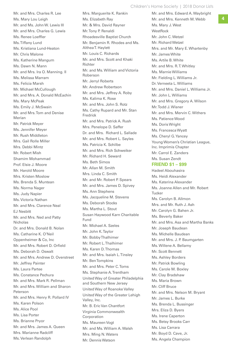Children's Home Society | 2018 Donor Lists

Mr. and Mrs. Edward A. Waybright

Mr. and Mrs. Charles R. Lee Ms. Mary Lou Leigh Mr. and Ms. John W. Lewis III Mr. and Mrs. Charles G. Lewis Ms. Renee Loeffler Ms. Tiffany Lund Ms. Kristiana Lund-Heaton Mr. Chris Malone Ms. Katherine Mangum Ms. Dawn N. Mann Mr. and Mrs. Ira O. Manning. II Ms. Melissa Marram Ms. Felicia Marsh Mr. Michael McCullough Mr. and Mrs. A. Donald McEachin Ms. Mary McPeak Ms. Emily J. McSwain Mr. and Mrs. Tom and Denise Merian Mr. Patrick Meyer Ms. Jennifer Meyer Mr. Rush Middleton Mrs. Gail Rolle Miller Mrs. Debbi Mintz Mr. Robert Mish Shamim Mohammad Prof. Elsie J. Moore Mr. Harold Moore Mrs. Kristen Moslow Ms. Brenda S. Muntean Ms. Norma Nager Ms. Judy Napier Ms. Victoria Nathan Mr. and Mrs. Clarence Neal EJ Nesbitt Mr. and Mrs. Ned and Patty Nicholas Dr. and Mrs. Donald B. Nolan Ms. Catharine K. O'Neil Oppenheimer & Co, Inc Mr. and Mrs. Robert D. Orfield Ms. Deborah D. Oswalt Mr. and Mrs. Andrew D. Overstreet Mr. Jeffrey Painter Ms. Laura Partee Ms. Constance Pechura Mr. and Mrs. Mark R. Pellman Mr. and Mrs. William and Sharon Peterson Mr. and Mrs. Henry R. Pollard IV Ms. Karen Polson Ms. Alice Pool Ms. Lisa Porter Ms. Brianne Pryor Mr. and Mrs. James A. Queen Mrs. Marianne Radcliff Ms. Verlean Randolph

Mrs. Marguerite K. Rankin Ms. Elizabeth Ray Mr. & Mrs. David Rayner Mr. Tony P. Renaldi Rhoadesville Baptist Church Mr. Benjamin R. Rhodes and Ms. Althea T. Haylett Mr. Louis C. Richards Mr. and Mrs. Scott and Khaki Richter Mr. and Ms. William and Victoria Roberson Mr. Jerryl Roberts Mr. Andrew Robertson Mr. and Mrs. Jeffrey A. Roby Ms. Kalima K. Rose Mr. and Mrs. John S. Rotz Ms. Cathy Rupard and Mr. Stan Fredrick Mr. and Mrs. Patrick A. Rush Mrs. Penelope D. Saffer Dr. and Mrs. Richard L. Sallade Mr. and Mrs. Robert L. Sayles Ms. Patricia K. Schilbe Mr. and Mrs. Rich Schweiker Mr. Richard H. Seward Ms. Beth Simos Mr. Allan M. Smith Mrs. Linda C. Smith Mr. and Mr. Robert P. Spears Mr. and Mrs. James D. Spivey Ms. Ann Stephens Ms. Jacqueline M. Stevens Ms. Deborah Stocks Ms. Martha L. Stout Susan Haywood Karn Charitable Fund Mr. Michael A. Szeles Mr. John K. Taylor Mr. Bobby Thalhimer Mr. Robert L. Thalhimer Ms. Karen D. Thomas Mr. and Mrs. Isaiah L. Tinsley Mr. Ben Tompkins Mr. and Mrs. Peter C. Toms Ms. Stephanie A. Trentham United Way of Greater Philadelphia and Southern New Jersey United Way of Roanoke Valley United Way of the Greater Lehigh Valley, Inc. Mr. B. Eric Van Chantfort Virginia Commonwealth Corporation Ms. Maureen Vogt Mr. and Ms. William A. Walsh Mrs. Ming N. Waters Mr. Dennis Watson

Mr. and Mrs. Kenneth M. Webb Ms. Mary J. West **WestRock** Mr. John C. Wetzel Mr. Richard Wetzel Mrs. and Mr. Mary E. Whartenby Mr. James White Ms. Artile B. White Mr. and Mrs. R. T. Whitley Ms. Marnie Williams Mr. Fielding L. Williams Jr. Dr. Verneeta L. Williams Mr. and Mrs. Daniel L. Williams Jr. Mr. John L. Williams Mr. and Mrs. Gregory A. Wilson Mr. Todd J. Wisner Mr. and Mrs. Mervin C. Withers Ms. Patience Wood Ms. Doris Wright Ms. Francesca Wyatt Ms. Cheryl G. Yancey Young Women's Christian League, Inc. Imprimis Chapter Mr. Carrol E. Zanders Ms. Susan Zendt

#### **FRIEND \$1 – \$99**

Hadeel Abouhasira Ms. Heidi Alexander Ms. Katerina Alexander Ms. Joanne Allen and Mr. Robert Tucker Ms. Carolyn B. Allmon Mrs. and Mr. Ruth J. Ash Mr. Carolyn G. Bahen Jr. Ms. Beverly Baker Mr. and Mrs. Asa and Martha Banks Mr. Joseph Baudean Ms. Michelle Baudean Mr. and Mrs. J. P. Baumgarten Ms. Willene A. Bellamy Mr. Scott Bennett Ms. Ashley Borders Mr. Patrick Bowling Ms. Carole M. Boxley Mr. Clay Bradshaw Ms. Maria Brown Mr. Cliff Bruce Mr. and Mrs. Nelson M. Bryant Mr. James L. Burke Ms. Brenda L. Bussinger Mrs. Eliza D. Byers Ms. Irene Caperton Ms. Betsy Brooks Carr Ms. Lisa Carrara Mr. Boyd D. Cave, Jr. Ms. Angela Champion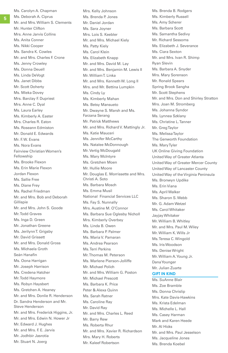Ms. Carolyn A. Chapman Ms. Deborah A. Ciprus Mr. and Mrs. William S. Clements Mr. Hunter Clifton Mrs. Anne Jarvis Collins Ms. Anita Conner Ms. Nikki Cooper Ms. Sandra K. Cowles Mr. and Mrs. Charles F. Crone Ms. Jenny Crowley Ms. Donna Deuell Ms. Linda DeVogt Ms. Janet Dibbs Mr. Scott Doherty Ms. Mieka Dovey Mrs. Barclay F. Dupriest Mrs. Anne C. Dyal Ms. Laura Earley Ms. Kimberly A. Easter Mrs. Charles R. Eaton Ms. Roseann Edmiston Mr. Donald E. Edwards Mr. F. W. Evans Ms. Nora Evans Fairview Christian Women's Fellowship Ms. Brooke Flexon Ms. Erin Marie Flexon Jordan Flexon Ms. Sallie Free Ms. Diane Frey Ms. Rachel Friedman Mr. and Mrs. Bob and Deborah Gillispie Mr. and Mrs. John S. Goode Mr. Todd Graves Ms. Inga D. Green Mr. Jonathan Greene Ms. Jerilynn T. Grigsby Mr. David Grissett Mr. and Mrs. Donald Gross Ms. Michaela Groth Seán Hanafin Ms. Oona Harrigan Mr. Joseph Harrison Ms. Credena Hatcher Mr. Todd Haymore Ms. Robyn Haysbert Ms. Gretchen A. Heaney Mr. and Mrs. Donlie R. Henderson Dr. Sandra Henderson and Mr. Steve Henderson Mr. and Mrs. Frederick Higgins, Jr. Mr. and Mrs. Edwin N. Hower Jr Mr. Edward J. Hughes Mr. and Mrs. F. E. Jarvis Mr. Jodhbir Jasrotia

Mr. Stuart N. Joerg

Ms. Brenda P. Jones Mr. Daniel Jordan Ms. Sara Joyner Mrs. Lois S. Keebler Mr. and Mrs. Michael Kiely Ms. Patty Kiely Ms. Carol Klein Ms. Elizabeth Knapp Mr. and Mrs. David M. Lay Mr. and Mrs. Benjamin M. Lewis II Mr. William T. Linka Mr. and Mrs. Kenneth W. Long II Mrs. and Mr. Bettina Lumpkin Ms. Cindy Ly Ms. Kimberly Mahan Ms. Betsy Mansueto Mr. Dwayne S. Marsh and Ms. Farzana Serang Mr. Patrick Matthews Mr. and Mrs. Richard V. Mattingly Jr. Ms. Katie Mauceri Ms. Jennifer McCarthy Ms. Natalee McDonnough Mr. Vertig McDougald Ms. Mary McIntyre Ms. Gretchen Moen Mr. Hullie Moore Mr. Douglas E. Morrissette and Mrs. Christi A. Soto Ms. Barbara Mosch Ms. Emma Musil National Financial Services LLC Ms. Fay S. Nunnally Mrs. Austine M. O'Connor Ms. Barbara Sue Oglesby Nicholl Mrs. Kimberly Overbey Ms. Linda B. Owen Ms. Barbara P. Palmer Ms. Maria V. Pamaran Ms. Andrea Pearson Ms. Terri Perkins Mr. Thomas M. Peterson Ms. Marlene Pierson-Jolliffe Mr. Michael Polich Mr. and Mrs. William G. Poston Mr. Michael Prescott Ms. Barbara K. Price Peter & Alexa Quinn Ms. Sarah Ratner Ms. Caroline Ray Mr. David Ray Mr. and Mrs. Charles L. Reed Mr. Barry Rew Ms. Roberta Rhur Mr. and Mrs. Xavier R. Richardson Mrs. Mary H. Roberts Mr. Kaleef Robertson

Mrs. Kelly Johnson

Ms. Brenda B. Rodgers Ms. Kimberly Russell Ms. Amy Scherer Ms. Barbara Scott Ms. Samantha Sedivy Mr. Richard Sessoms Ms. Elizabeth J. Severance Ms. Ciara Sexton Mr. and Mrs. Ivan R. Shimp Ryan Slevin Ms. Barbara A. Snyder Mrs. Mary Sorenson Mr. Ronald Spears Spring Brook Sangha Mr. Scott Stephens Mr. and Mrs. Don and Shirley Stratton Mrs. Joan M. Stromberg Ms. Johanna Syndor Ms. Lynnea Szklany Ms. Christine L. Tanner Mr. Greg Taylor Ms. Melissa Taylor The Genworth Foundation Ms. Mary Tyler UK Online Giving Foundation United Way of Greater Atlanta United Way of Greater Mercer County United Way of Lancaster County United Way of the Virginia Peninsula Ms. Bronwyn Updike Ms. Erin Viana Ms. April Walker Ms. Sharon S. Webb Mr. G. Adam Wetzel Ms. Carol Whitaker Jayjay Whitaker Mr. William B. Whitley Mr. and Mrs. Paul M. Wiley Mr. William K. Wills Jr Ms. Teresa C. Wingold Ms. Iris Woodson Ms. Denise Wright Mr. William A. Young Jr. Dana Younger Mr. Julian Zuarte **GIFT IN KIND** Ms. SuAnne Blair Ms. Zoe Bramble

Ms. Donna Chrislip Mrs. Kate Davis-Hawkins Ms. Krista Edelman Ms. Michelle L. Hall Ms. Casey Harman Mark and Karen Heede Mr. Al Hicks Mr. and Mrs. Paul Jesselson Ms. Jacqueline Jones Ms. Brenda Koebel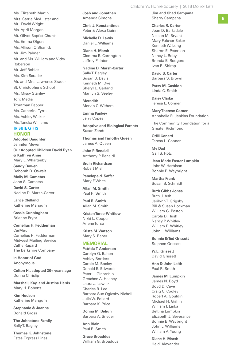Ms. Elizabeth Martin Mrs. Carrie McAllister and Mr. David Wright Ms. April Morgan Mt. Olivet Baptist Church Ms. Emma Olgers Ms. Allison O'Shanick Mr. Jim Palmer Mr. and Ms. William and Vicky Roberson Mr. Jeff Robles Ms. Kim Scrader Mr. and Mrs. Lawrence Srader St. Christopher's School Ms. Missy Stanley Torx Media Troutman Pepper Ms. Catherine Tyrrell Ms. Ashley Walker Ms. Taneka Williams

## **TRIBUTE GIFTS**

**HONOR Adopted Daughter** Jennifer Meyer **Our Adopted Children David Ryan & Kathryn Anne**

Mary E. Whartenby **Sandy Bowen** Deborah D. Oswalt **Molly M. Cametas** John S. Cametas **David S. Carter**

Nadine D. Marsh-Carter

**Lance Clelland** Katherine Mangum

**Cassie Cunningham** Brianne Pryor

**Cornelius H. Fedderman** CarMax Cornelius H. Fedderman Midwest Mailing Service Cathy Rupard The Berkshire Company

**In Honor of God** Anonymous

**Colton H., adopted 30+ years ago** Donna Chrislip

**Marshall, Kay, and Justine Harris** Mary H. Roberts

**Kim Hudson** Katherine Mangum

**Stephanie & Joanne**  Donald Gross

**The Johnstone Family** Sally T. Bagley

**Thomas K. Johnstone** Estes Express Lines

**Josh and Jonathan** Amanda Simons

**Chris J. Konstantinos**  Peter & Alexa Quinn

**Michelle D. Lewis** Daniel L. Williams

**Diane H. Marsh**  Clemma E. Carrington Jeffrey Painter

**Nadine D. Marsh-Carter**  Sally T. Bagley Susan B. Davis Kenneth M. Dye Sheryl L. Garland Marilyn S. Seeley

**Meredith**  Mervin C. Withers

**Emma Pankey**  Jerry Copes

**Adoptive and Biological Parents**  Susan Zendt

**Thomas and Timothy Queen** James A. Queen

**John P. Renaldi** Anthony P. Renaldi

**Bruin Richardson**  Robert Mish

**Penelope d. Saffer** Mary F. White

**Allan M. Smith** Paul R. Smith

**Paul R. Smith** Allan M. Smith

**Kristen Turso-Whitlow** Nikki L. Cooper Arlene Turso

**Krista M. Watson** Mary S. Baber

# **MEMORIAL**

**Patricia T. Anderson** Carolyn G. Bahen Ashley Borders Carole M. Boxley Donald E. Edwards Peter L. Ginocchio Gretchen A. Heaney Laura J. Lawler Charles R. Lee Barbara Sue Oglesby Nicholl Julia W. Pollard Barbara K. Price

**Donna M. Behun** Barbara A. Snyder

**Ann Blair** Paul R. Smith

**Grace Broaddus** William G. Broaddus Children's Home Society | 2018 Donor Lists

**Jim and Chad Campana** Sherry Campana

**Charles R. Carter** Joan D. Barksdale Nelson M. Bryant Mary Fulcher Baker Kenneth W. Long Sharon E. Peterson Nancy L. Roby Brenda B. Rodgers Ivan R. Shimp

**David S. Carter** Barbara S. Brown

**Patsy M. Cashion** Linda C. Smith

**Daisy Clarke** Teresa L. Conner

**Mary Therese Comer** Annabella R. Jenkins Foundation

The Community Foundation for a Greater Richmond

**Odill Conard** Teresa L. Conner

**My Dad** Gail S. Rotz

**Jean Marie Foster Lumpkin** John W. Harbison Bonnie B. Waybright

**Martha Frank** Susan S. Schmidt

**Ruth Gibbs Jones** Ruth J. Ash Jerilynn T. Grigsby Bill & Susan Hockman William G. Poston Carole D. Rush Nancy P. Whitley William B. Whitley John L. Williams

**Bonnie & Ted Grissett** Stephen Grissett

**W.E. Grissett** David Grissett

**Ann & John Leith** Paul R. Smith

**James M. Lumpkin** James N. Boyd Boyd D. Cave Craig C. Cooley Robert A. Gouldin Michael H. Griffin William T. Linka Bettina Lumpkin Elizabeth J. Severance Bonnie B. Waybright John L. Williams William A. Young

**Diane H. Marsh** Heidi Alexander